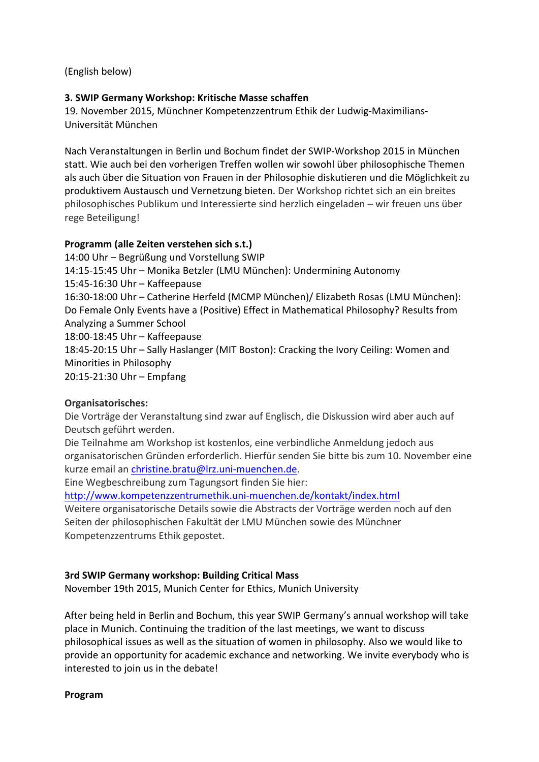(English below)

## **3. SWIP Germany Workshop: Kritische Masse schaffen**

19. November 2015, Münchner Kompetenzzentrum Ethik der Ludwig-Maximilians-Universität München

Nach Veranstaltungen in Berlin und Bochum findet der SWIP-Workshop 2015 in München statt. Wie auch bei den vorherigen Treffen wollen wir sowohl über philosophische Themen als auch über die Situation von Frauen in der Philosophie diskutieren und die Möglichkeit zu produktivem Austausch und Vernetzung bieten. Der Workshop richtet sich an ein breites philosophisches Publikum und Interessierte sind herzlich eingeladen – wir freuen uns über rege Beteiligung!

## **Programm (alle Zeiten verstehen sich s.t.)**

14:00 Uhr - Begrüßung und Vorstellung SWIP 14:15-15:45 Uhr – Monika Betzler (LMU München): Undermining Autonomy 15:45-16:30 Uhr – Kaffeepause 16:30-18:00 Uhr - Catherine Herfeld (MCMP München)/ Elizabeth Rosas (LMU München): Do Female Only Events have a (Positive) Effect in Mathematical Philosophy? Results from Analyzing a Summer School 18:00-18:45 Uhr - Kaffeepause 18:45-20:15 Uhr – Sally Haslanger (MIT Boston): Cracking the Ivory Ceiling: Women and Minorities in Philosophy 20:15-21:30 Uhr - Empfang

## **Organisatorisches:**

Die Vorträge der Veranstaltung sind zwar auf Englisch, die Diskussion wird aber auch auf Deutsch geführt werden.

Die Teilnahme am Workshop ist kostenlos, eine verbindliche Anmeldung jedoch aus organisatorischen Gründen erforderlich. Hierfür senden Sie bitte bis zum 10. November eine kurze email an christine.bratu@lrz.uni-muenchen.de.

Eine Wegbeschreibung zum Tagungsort finden Sie hier:

http://www.kompetenzzentrumethik.uni-muenchen.de/kontakt/index.html

Weitere organisatorische Details sowie die Abstracts der Vorträge werden noch auf den Seiten der philosophischen Fakultät der LMU München sowie des Münchner Kompetenzzentrums Ethik gepostet.

## **3rd SWIP Germany workshop: Building Critical Mass**

November 19th 2015, Munich Center for Ethics, Munich University

After being held in Berlin and Bochum, this year SWIP Germany's annual workshop will take place in Munich. Continuing the tradition of the last meetings, we want to discuss philosophical issues as well as the situation of women in philosophy. Also we would like to provide an opportunity for academic exchance and networking. We invite everybody who is interested to join us in the debate!

**Program**